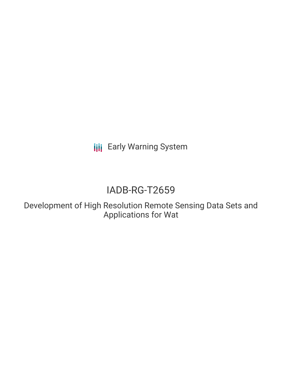**III** Early Warning System

# IADB-RG-T2659

Development of High Resolution Remote Sensing Data Sets and Applications for Wat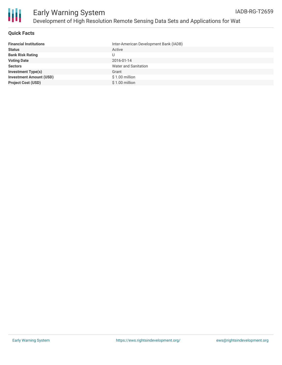

#### **Quick Facts**

| <b>Financial Institutions</b>  | Inter-American Development Bank (IADB) |
|--------------------------------|----------------------------------------|
| <b>Status</b>                  | Active                                 |
| <b>Bank Risk Rating</b>        |                                        |
| <b>Voting Date</b>             | 2016-01-14                             |
| <b>Sectors</b>                 | <b>Water and Sanitation</b>            |
| <b>Investment Type(s)</b>      | Grant                                  |
| <b>Investment Amount (USD)</b> | $$1.00$ million                        |
| <b>Project Cost (USD)</b>      | $$1.00$ million                        |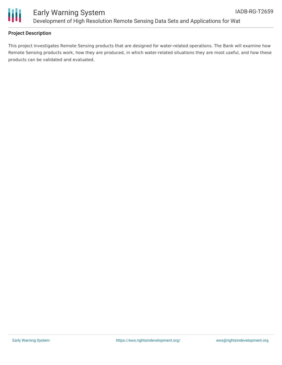

### Early Warning System Development of High Resolution Remote Sensing Data Sets and Applications for Wat

#### **Project Description**

This project investigates Remote Sensing products that are designed for water-related operations. The Bank will examine how Remote Sensing products work, how they are produced, in which water-related situations they are most useful, and how these products can be validated and evaluated.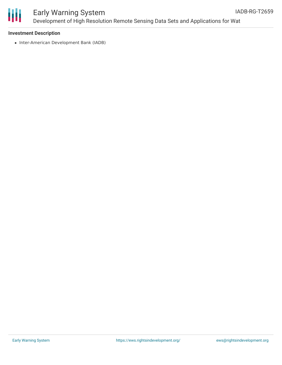

## Early Warning System Development of High Resolution Remote Sensing Data Sets and Applications for Wat

#### **Investment Description**

• Inter-American Development Bank (IADB)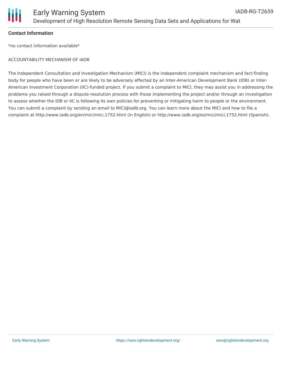

#### **Contact Information**

\*no contact information available\*

#### ACCOUNTABILITY MECHANISM OF IADB

The Independent Consultation and Investigation Mechanism (MICI) is the independent complaint mechanism and fact-finding body for people who have been or are likely to be adversely affected by an Inter-American Development Bank (IDB) or Inter-American Investment Corporation (IIC)-funded project. If you submit a complaint to MICI, they may assist you in addressing the problems you raised through a dispute-resolution process with those implementing the project and/or through an investigation to assess whether the IDB or IIC is following its own policies for preventing or mitigating harm to people or the environment. You can submit a complaint by sending an email to MICI@iadb.org. You can learn more about the MICI and how to file a complaint at http://www.iadb.org/en/mici/mici,1752.html (in English) or http://www.iadb.org/es/mici/mici,1752.html (Spanish).